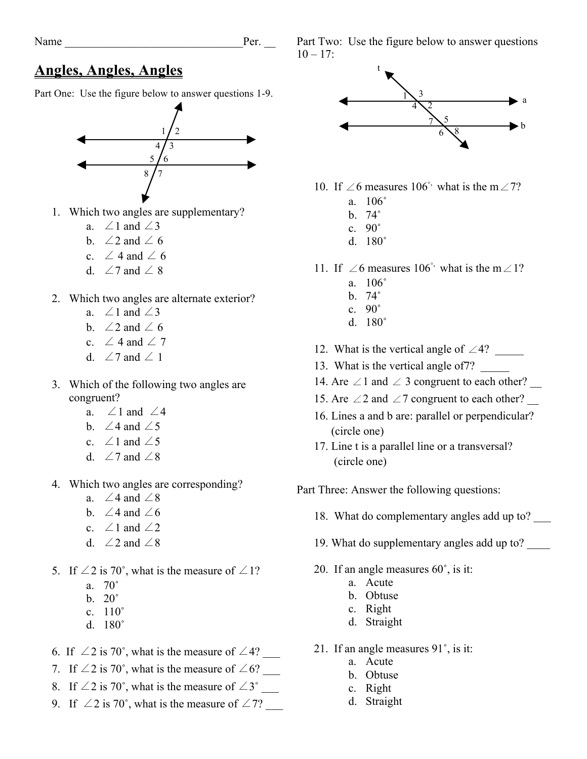## **Angles, Angles, Angles**

Part One: Use the figure below to answer questions 1-9.



- 1. Which two angles are supplementary?
	- a.  $\angle 1$  and  $\angle 3$
	- b.  $\angle 2$  and  $\angle 6$
	- c.  $\angle$  4 and  $\angle$  6
	- d.  $\angle 7$  and  $\angle 8$
- 2. Which two angles are alternate exterior?
	- a.  $\angle 1$  and  $\angle 3$
	- b.  $\angle 2$  and  $\angle 6$
	- c.  $\angle$  4 and  $\angle$  7
	- d.  $\angle 7$  and  $\angle 1$
- 3. Which of the following two angles are congruent?
	- a.  $\angle 1$  and  $\angle 4$
	- b.  $\angle 4$  and  $\angle 5$
	- c.  $\angle 1$  and  $\angle 5$
	- d.  $\angle 7$  and  $\angle 8$
- 4. Which two angles are corresponding?
	- a.  $\angle 4$  and  $\angle 8$
	- b.  $\angle 4$  and  $\angle 6$
	- c.  $\angle 1$  and  $\angle 2$
	- d.  $\angle 2$  and  $\angle 8$
- 5. If  $\angle 2$  is 70°, what is the measure of  $\angle 1$ ?
	- a. 70˚
	- b. 20˚
	- c. 110˚
	- d. 180˚
- 6. If  $\angle 2$  is 70°, what is the measure of  $\angle 4$ ?
- 7. If  $\angle 2$  is 70°, what is the measure of  $\angle 6$ ? \_\_\_\_
- 8. If  $\angle 2$  is 70°, what is the measure of  $\angle 3^{\circ}$
- 9. If  $\angle 2$  is 70°, what is the measure of  $\angle 7$ ?

Part Two: Use the figure below to answer questions  $10 - 17$ :



- 10. If ∠6 measures 106° what is the m∠7?
	- a. 106˚
	- b. 74˚
	- c. 90˚
	- d. 180˚
- 11. If ∠6 measures 106° what is the m∠1?
	- a. 106˚
	- b. 74˚
	- c. 90˚
	- d. 180˚
- 12. What is the vertical angle of ∠4? \_\_\_\_\_
- 13. What is the vertical angle of 7?
- 14. Are ∠1 and ∠ 3 congruent to each other?
- 15. Are ∠2 and ∠7 congruent to each other?
- 16. Lines a and b are: parallel or perpendicular? (circle one)
- 17. Line t is a parallel line or a transversal? (circle one)

Part Three: Answer the following questions:

- 18. What do complementary angles add up to? \_\_\_
- 19. What do supplementary angles add up to? \_\_\_\_
- 20. If an angle measures 60˚, is it:
	- a. Acute
	- b. Obtuse
	- c. Right
	- d. Straight
- 21. If an angle measures 91˚, is it:
	- a. Acute
	- b. Obtuse
	- c. Right
	- d. Straight